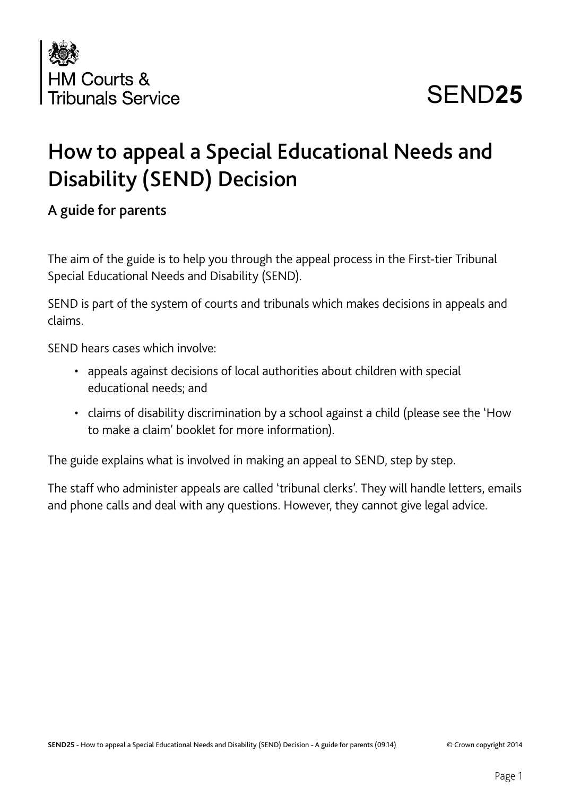

# SEND**25**

# How to appeal a Special Educational Needs and Disability (SEND) Decision

#### A guide for parents

The aim of the guide is to help you through the appeal process in the First-tier Tribunal Special Educational Needs and Disability (SEND).

SEND is part of the system of courts and tribunals which makes decisions in appeals and claims.

SEND hears cases which involve:

- appeals against decisions of local authorities about children with special educational needs; and
- claims of disability discrimination by a school against a child (please see the 'How to make a claim' booklet for more information).

The guide explains what is involved in making an appeal to SEND, step by step.

The staff who administer appeals are called 'tribunal clerks'. They will handle letters, emails and phone calls and deal with any questions. However, they cannot give legal advice.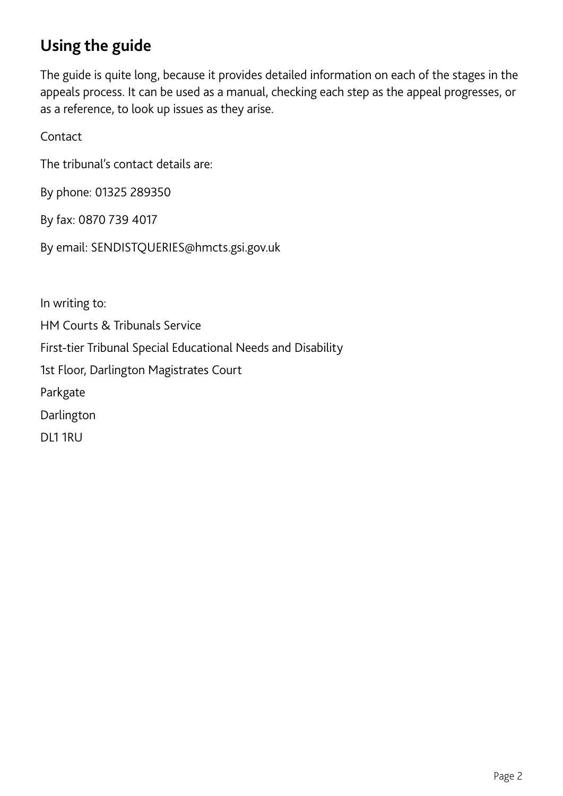# **Using the guide**

The guide is quite long, because it provides detailed information on each of the stages in the appeals process. It can be used as a manual, checking each step as the appeal progresses, or as a reference, to look up issues as they arise.

Contact

The tribunal's contact details are:

By phone: 01325 289350

By fax: 0870 739 4017

By email: SENDISTQUERIES@hmcts.gsi.gov.uk

In writing to: HM Courts & Tribunals Service First-tier Tribunal Special Educational Needs and Disability 1st Floor, Darlington Magistrates Court Parkgate Darlington DL1 1RU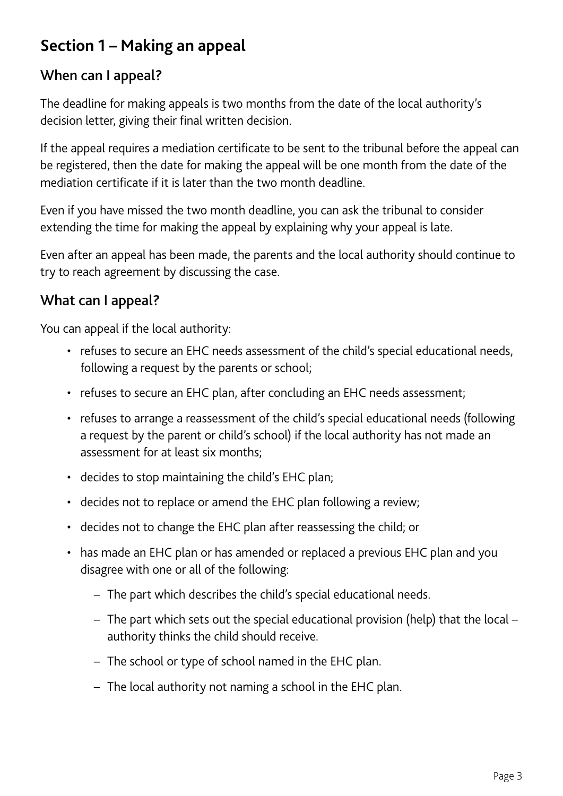# **Section 1 – Making an appeal**

#### When can I appeal?

The deadline for making appeals is two months from the date of the local authority's decision letter, giving their final written decision.

If the appeal requires a mediation certificate to be sent to the tribunal before the appeal can be registered, then the date for making the appeal will be one month from the date of the mediation certificate if it is later than the two month deadline.

Even if you have missed the two month deadline, you can ask the tribunal to consider extending the time for making the appeal by explaining why your appeal is late.

Even after an appeal has been made, the parents and the local authority should continue to try to reach agreement by discussing the case.

### What can I appeal?

You can appeal if the local authority:

- refuses to secure an EHC needs assessment of the child's special educational needs, following a request by the parents or school;
- refuses to secure an EHC plan, after concluding an EHC needs assessment;
- refuses to arrange a reassessment of the child's special educational needs (following a request by the parent or child's school) if the local authority has not made an assessment for at least six months;
- decides to stop maintaining the child's EHC plan;
- decides not to replace or amend the EHC plan following a review;
- decides not to change the EHC plan after reassessing the child; or
- has made an EHC plan or has amended or replaced a previous EHC plan and you disagree with one or all of the following:
	- The part which describes the child's special educational needs.
	- The part which sets out the special educational provision (help) that the local authority thinks the child should receive.
	- The school or type of school named in the EHC plan.
	- The local authority not naming a school in the EHC plan.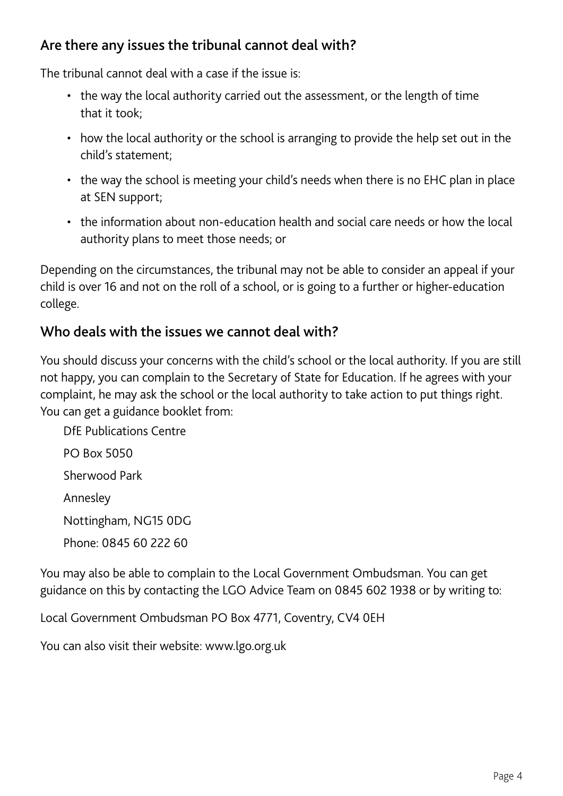#### Are there any issues the tribunal cannot deal with?

The tribunal cannot deal with a case if the issue is:

- the way the local authority carried out the assessment, or the length of time that it took;
- how the local authority or the school is arranging to provide the help set out in the child's statement;
- the way the school is meeting your child's needs when there is no EHC plan in place at SEN support;
- the information about non-education health and social care needs or how the local authority plans to meet those needs; or

Depending on the circumstances, the tribunal may not be able to consider an appeal if your child is over 16 and not on the roll of a school, or is going to a further or higher-education college.

#### Who deals with the issues we cannot deal with?

You should discuss your concerns with the child's school or the local authority. If you are still not happy, you can complain to the Secretary of State for Education. If he agrees with your complaint, he may ask the school or the local authority to take action to put things right. You can get a guidance booklet from:

DfE Publications Centre PO Box 5050 Sherwood Park Annesley Nottingham, NG15 0DG Phone: 0845 60 222 60

You may also be able to complain to the Local Government Ombudsman. You can get guidance on this by contacting the LGO Advice Team on 0845 602 1938 or by writing to:

Local Government Ombudsman PO Box 4771, Coventry, CV4 0EH

You can also visit their website: www.lgo.org.uk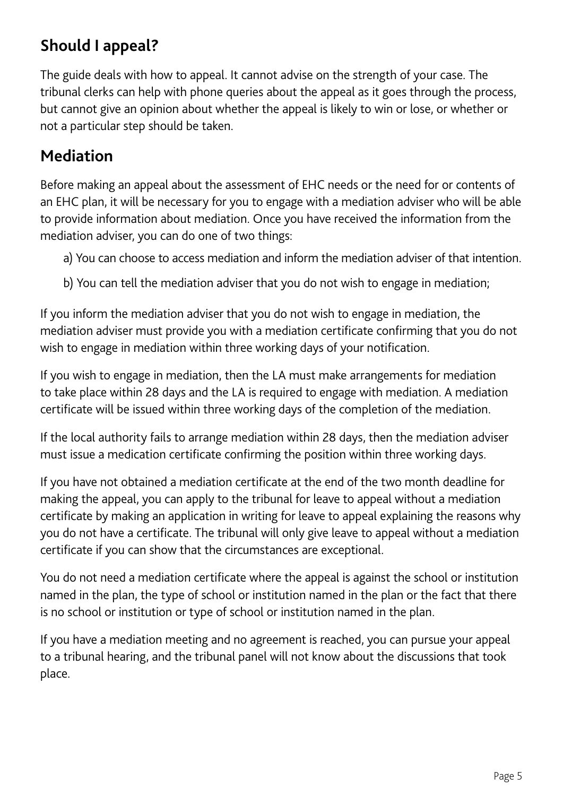# **Should I appeal?**

The guide deals with how to appeal. It cannot advise on the strength of your case. The tribunal clerks can help with phone queries about the appeal as it goes through the process, but cannot give an opinion about whether the appeal is likely to win or lose, or whether or not a particular step should be taken.

# **Mediation**

Before making an appeal about the assessment of EHC needs or the need for or contents of an EHC plan, it will be necessary for you to engage with a mediation adviser who will be able to provide information about mediation. Once you have received the information from the mediation adviser, you can do one of two things:

- a) You can choose to access mediation and inform the mediation adviser of that intention.
- b) You can tell the mediation adviser that you do not wish to engage in mediation;

If you inform the mediation adviser that you do not wish to engage in mediation, the mediation adviser must provide you with a mediation certificate confirming that you do not wish to engage in mediation within three working days of your notification.

If you wish to engage in mediation, then the LA must make arrangements for mediation to take place within 28 days and the LA is required to engage with mediation. A mediation certificate will be issued within three working days of the completion of the mediation.

If the local authority fails to arrange mediation within 28 days, then the mediation adviser must issue a medication certificate confirming the position within three working days.

If you have not obtained a mediation certificate at the end of the two month deadline for making the appeal, you can apply to the tribunal for leave to appeal without a mediation certificate by making an application in writing for leave to appeal explaining the reasons why you do not have a certificate. The tribunal will only give leave to appeal without a mediation certificate if you can show that the circumstances are exceptional.

You do not need a mediation certificate where the appeal is against the school or institution named in the plan, the type of school or institution named in the plan or the fact that there is no school or institution or type of school or institution named in the plan.

If you have a mediation meeting and no agreement is reached, you can pursue your appeal to a tribunal hearing, and the tribunal panel will not know about the discussions that took place.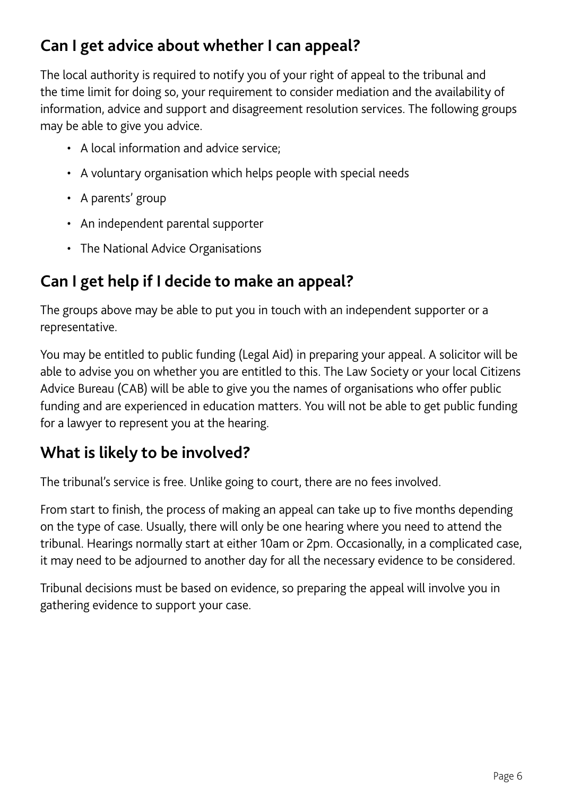# **Can I get advice about whether I can appeal?**

The local authority is required to notify you of your right of appeal to the tribunal and the time limit for doing so, your requirement to consider mediation and the availability of information, advice and support and disagreement resolution services. The following groups may be able to give you advice.

- A local information and advice service;
- A voluntary organisation which helps people with special needs
- A parents' group
- An independent parental supporter
- The National Advice Organisations

# **Can I get help if I decide to make an appeal?**

The groups above may be able to put you in touch with an independent supporter or a representative.

You may be entitled to public funding (Legal Aid) in preparing your appeal. A solicitor will be able to advise you on whether you are entitled to this. The Law Society or your local Citizens Advice Bureau (CAB) will be able to give you the names of organisations who offer public funding and are experienced in education matters. You will not be able to get public funding for a lawyer to represent you at the hearing.

# **What is likely to be involved?**

The tribunal's service is free. Unlike going to court, there are no fees involved.

From start to finish, the process of making an appeal can take up to five months depending on the type of case. Usually, there will only be one hearing where you need to attend the tribunal. Hearings normally start at either 10am or 2pm. Occasionally, in a complicated case, it may need to be adjourned to another day for all the necessary evidence to be considered.

Tribunal decisions must be based on evidence, so preparing the appeal will involve you in gathering evidence to support your case.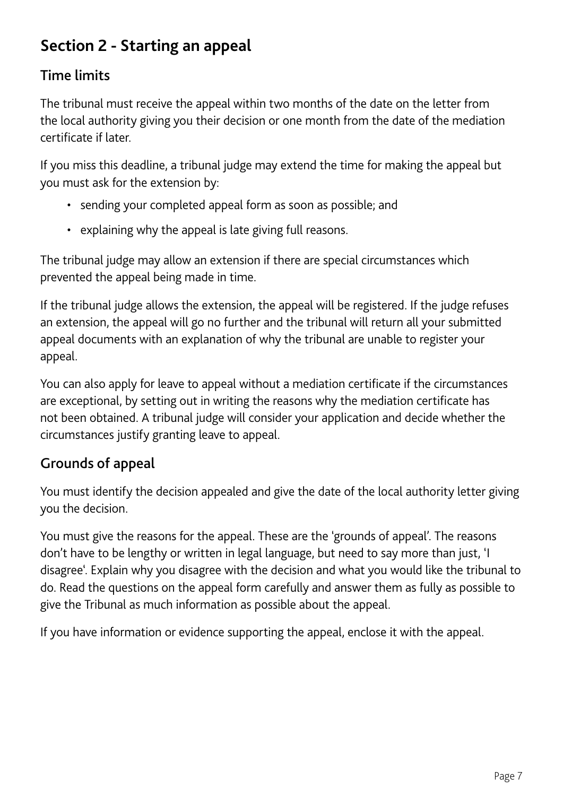# **Section 2 - Starting an appeal**

### Time limits

The tribunal must receive the appeal within two months of the date on the letter from the local authority giving you their decision or one month from the date of the mediation certificate if later.

If you miss this deadline, a tribunal judge may extend the time for making the appeal but you must ask for the extension by:

- sending your completed appeal form as soon as possible; and
- explaining why the appeal is late giving full reasons.

The tribunal judge may allow an extension if there are special circumstances which prevented the appeal being made in time.

If the tribunal judge allows the extension, the appeal will be registered. If the judge refuses an extension, the appeal will go no further and the tribunal will return all your submitted appeal documents with an explanation of why the tribunal are unable to register your appeal.

You can also apply for leave to appeal without a mediation certificate if the circumstances are exceptional, by setting out in writing the reasons why the mediation certificate has not been obtained. A tribunal judge will consider your application and decide whether the circumstances justify granting leave to appeal.

### Grounds of appeal

You must identify the decision appealed and give the date of the local authority letter giving you the decision.

You must give the reasons for the appeal. These are the 'grounds of appeal'. The reasons don't have to be lengthy or written in legal language, but need to say more than just, 'I disagree'. Explain why you disagree with the decision and what you would like the tribunal to do. Read the questions on the appeal form carefully and answer them as fully as possible to give the Tribunal as much information as possible about the appeal.

If you have information or evidence supporting the appeal, enclose it with the appeal.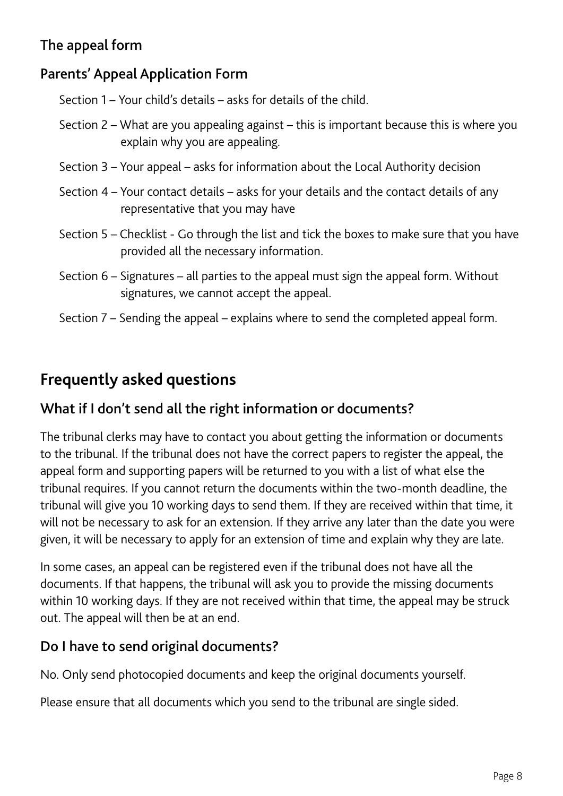### The appeal form

#### Parents' Appeal Application Form

Section 1 – Your child's details – asks for details of the child.

- Section 2 What are you appealing against this is important because this is where you explain why you are appealing.
- Section 3 Your appeal asks for information about the Local Authority decision
- Section 4 Your contact details asks for your details and the contact details of any representative that you may have
- Section 5 Checklist Go through the list and tick the boxes to make sure that you have provided all the necessary information.
- Section 6 Signatures all parties to the appeal must sign the appeal form. Without signatures, we cannot accept the appeal.
- Section 7 Sending the appeal explains where to send the completed appeal form.

## **Frequently asked questions**

#### What if I don't send all the right information or documents?

The tribunal clerks may have to contact you about getting the information or documents to the tribunal. If the tribunal does not have the correct papers to register the appeal, the appeal form and supporting papers will be returned to you with a list of what else the tribunal requires. If you cannot return the documents within the two-month deadline, the tribunal will give you 10 working days to send them. If they are received within that time, it will not be necessary to ask for an extension. If they arrive any later than the date you were given, it will be necessary to apply for an extension of time and explain why they are late.

In some cases, an appeal can be registered even if the tribunal does not have all the documents. If that happens, the tribunal will ask you to provide the missing documents within 10 working days. If they are not received within that time, the appeal may be struck out. The appeal will then be at an end.

#### Do I have to send original documents?

No. Only send photocopied documents and keep the original documents yourself.

Please ensure that all documents which you send to the tribunal are single sided.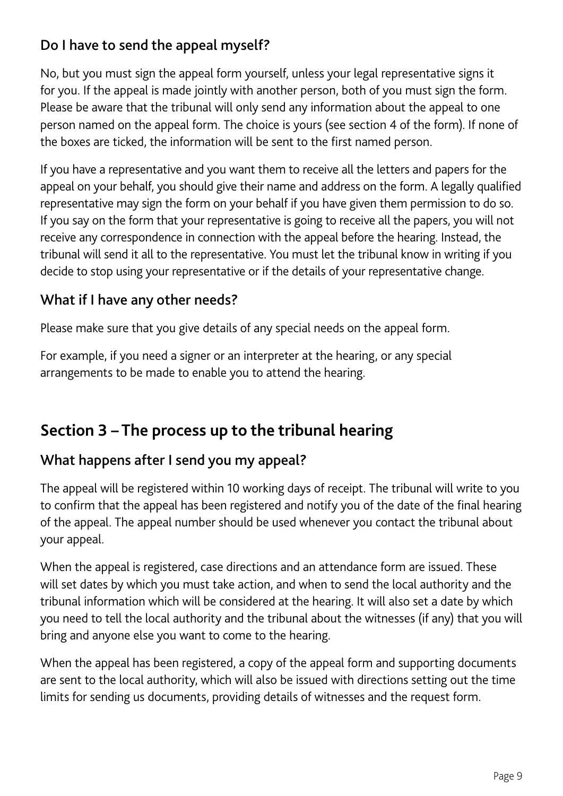### Do I have to send the appeal myself?

No, but you must sign the appeal form yourself, unless your legal representative signs it for you. If the appeal is made jointly with another person, both of you must sign the form. Please be aware that the tribunal will only send any information about the appeal to one person named on the appeal form. The choice is yours (see section 4 of the form). If none of the boxes are ticked, the information will be sent to the first named person.

If you have a representative and you want them to receive all the letters and papers for the appeal on your behalf, you should give their name and address on the form. A legally qualified representative may sign the form on your behalf if you have given them permission to do so. If you say on the form that your representative is going to receive all the papers, you will not receive any correspondence in connection with the appeal before the hearing. Instead, the tribunal will send it all to the representative. You must let the tribunal know in writing if you decide to stop using your representative or if the details of your representative change.

#### What if I have any other needs?

Please make sure that you give details of any special needs on the appeal form.

For example, if you need a signer or an interpreter at the hearing, or any special arrangements to be made to enable you to attend the hearing.

# **Section 3 – The process up to the tribunal hearing**

#### What happens after I send you my appeal?

The appeal will be registered within 10 working days of receipt. The tribunal will write to you to confirm that the appeal has been registered and notify you of the date of the final hearing of the appeal. The appeal number should be used whenever you contact the tribunal about your appeal.

When the appeal is registered, case directions and an attendance form are issued. These will set dates by which you must take action, and when to send the local authority and the tribunal information which will be considered at the hearing. It will also set a date by which you need to tell the local authority and the tribunal about the witnesses (if any) that you will bring and anyone else you want to come to the hearing.

When the appeal has been registered, a copy of the appeal form and supporting documents are sent to the local authority, which will also be issued with directions setting out the time limits for sending us documents, providing details of witnesses and the request form.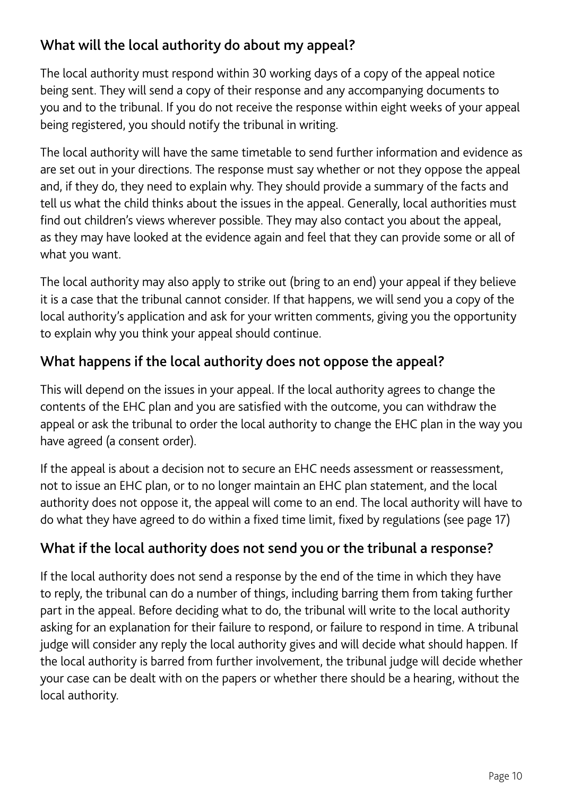### What will the local authority do about my appeal?

The local authority must respond within 30 working days of a copy of the appeal notice being sent. They will send a copy of their response and any accompanying documents to you and to the tribunal. If you do not receive the response within eight weeks of your appeal being registered, you should notify the tribunal in writing.

The local authority will have the same timetable to send further information and evidence as are set out in your directions. The response must say whether or not they oppose the appeal and, if they do, they need to explain why. They should provide a summary of the facts and tell us what the child thinks about the issues in the appeal. Generally, local authorities must find out children's views wherever possible. They may also contact you about the appeal, as they may have looked at the evidence again and feel that they can provide some or all of what you want.

The local authority may also apply to strike out (bring to an end) your appeal if they believe it is a case that the tribunal cannot consider. If that happens, we will send you a copy of the local authority's application and ask for your written comments, giving you the opportunity to explain why you think your appeal should continue.

### What happens if the local authority does not oppose the appeal?

This will depend on the issues in your appeal. If the local authority agrees to change the contents of the EHC plan and you are satisfied with the outcome, you can withdraw the appeal or ask the tribunal to order the local authority to change the EHC plan in the way you have agreed (a consent order).

If the appeal is about a decision not to secure an EHC needs assessment or reassessment, not to issue an EHC plan, or to no longer maintain an EHC plan statement, and the local authority does not oppose it, the appeal will come to an end. The local authority will have to do what they have agreed to do within a fixed time limit, fixed by regulations (see page 17)

#### What if the local authority does not send you or the tribunal a response?

If the local authority does not send a response by the end of the time in which they have to reply, the tribunal can do a number of things, including barring them from taking further part in the appeal. Before deciding what to do, the tribunal will write to the local authority asking for an explanation for their failure to respond, or failure to respond in time. A tribunal judge will consider any reply the local authority gives and will decide what should happen. If the local authority is barred from further involvement, the tribunal judge will decide whether your case can be dealt with on the papers or whether there should be a hearing, without the local authority.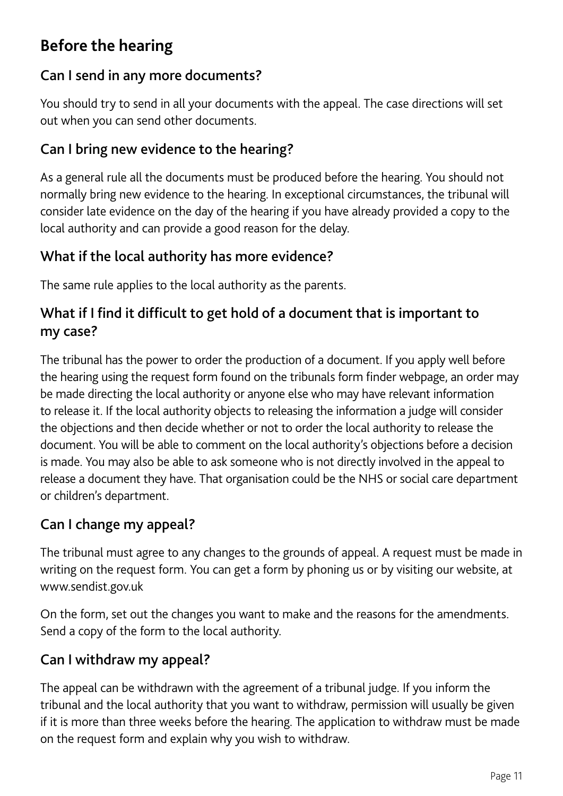# **Before the hearing**

#### Can I send in any more documents?

You should try to send in all your documents with the appeal. The case directions will set out when you can send other documents.

#### Can I bring new evidence to the hearing?

As a general rule all the documents must be produced before the hearing. You should not normally bring new evidence to the hearing. In exceptional circumstances, the tribunal will consider late evidence on the day of the hearing if you have already provided a copy to the local authority and can provide a good reason for the delay.

#### What if the local authority has more evidence?

The same rule applies to the local authority as the parents.

### What if I find it difficult to get hold of a document that is important to my case?

The tribunal has the power to order the production of a document. If you apply well before the hearing using the request form found on the tribunals form finder webpage, an order may be made directing the local authority or anyone else who may have relevant information to release it. If the local authority objects to releasing the information a judge will consider the objections and then decide whether or not to order the local authority to release the document. You will be able to comment on the local authority's objections before a decision is made. You may also be able to ask someone who is not directly involved in the appeal to release a document they have. That organisation could be the NHS or social care department or children's department.

#### Can I change my appeal?

The tribunal must agree to any changes to the grounds of appeal. A request must be made in writing on the request form. You can get a form by phoning us or by visiting our website, at www.sendist.gov.uk

On the form, set out the changes you want to make and the reasons for the amendments. Send a copy of the form to the local authority.

### Can I withdraw my appeal?

The appeal can be withdrawn with the agreement of a tribunal judge. If you inform the tribunal and the local authority that you want to withdraw, permission will usually be given if it is more than three weeks before the hearing. The application to withdraw must be made on the request form and explain why you wish to withdraw.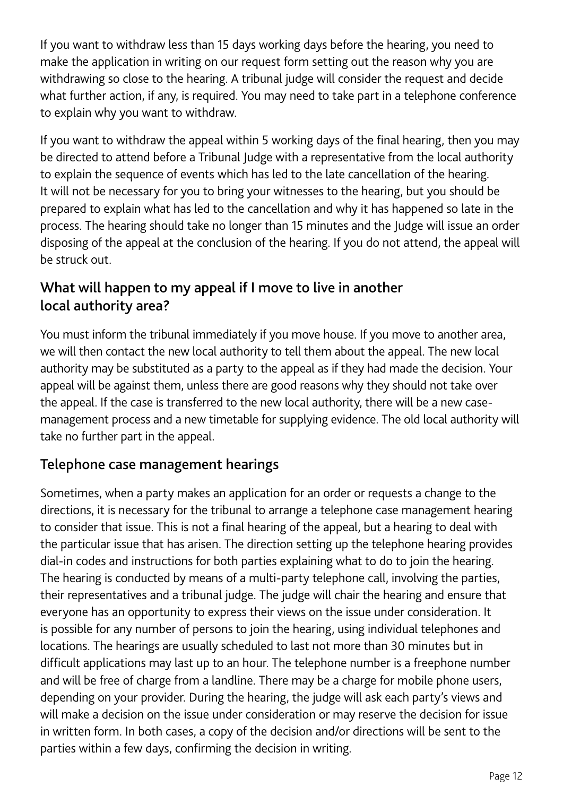If you want to withdraw less than 15 days working days before the hearing, you need to make the application in writing on our request form setting out the reason why you are withdrawing so close to the hearing. A tribunal judge will consider the request and decide what further action, if any, is required. You may need to take part in a telephone conference to explain why you want to withdraw.

If you want to withdraw the appeal within 5 working days of the final hearing, then you may be directed to attend before a Tribunal Judge with a representative from the local authority to explain the sequence of events which has led to the late cancellation of the hearing. It will not be necessary for you to bring your witnesses to the hearing, but you should be prepared to explain what has led to the cancellation and why it has happened so late in the process. The hearing should take no longer than 15 minutes and the Judge will issue an order disposing of the appeal at the conclusion of the hearing. If you do not attend, the appeal will be struck out.

#### What will happen to my appeal if I move to live in another local authority area?

You must inform the tribunal immediately if you move house. If you move to another area, we will then contact the new local authority to tell them about the appeal. The new local authority may be substituted as a party to the appeal as if they had made the decision. Your appeal will be against them, unless there are good reasons why they should not take over the appeal. If the case is transferred to the new local authority, there will be a new casemanagement process and a new timetable for supplying evidence. The old local authority will take no further part in the appeal.

#### Telephone case management hearings

Sometimes, when a party makes an application for an order or requests a change to the directions, it is necessary for the tribunal to arrange a telephone case management hearing to consider that issue. This is not a final hearing of the appeal, but a hearing to deal with the particular issue that has arisen. The direction setting up the telephone hearing provides dial-in codes and instructions for both parties explaining what to do to join the hearing. The hearing is conducted by means of a multi-party telephone call, involving the parties, their representatives and a tribunal judge. The judge will chair the hearing and ensure that everyone has an opportunity to express their views on the issue under consideration. It is possible for any number of persons to join the hearing, using individual telephones and locations. The hearings are usually scheduled to last not more than 30 minutes but in difficult applications may last up to an hour. The telephone number is a freephone number and will be free of charge from a landline. There may be a charge for mobile phone users, depending on your provider. During the hearing, the judge will ask each party's views and will make a decision on the issue under consideration or may reserve the decision for issue in written form. In both cases, a copy of the decision and/or directions will be sent to the parties within a few days, confirming the decision in writing.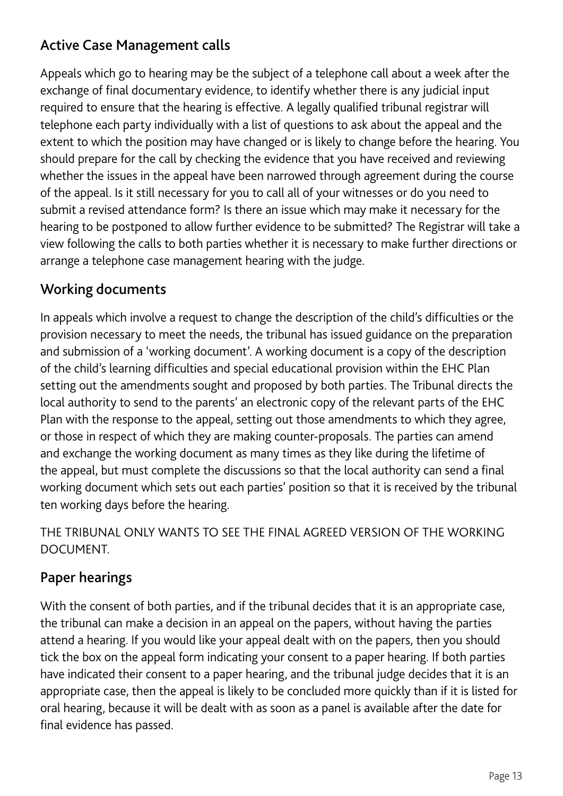### Active Case Management calls

Appeals which go to hearing may be the subject of a telephone call about a week after the exchange of final documentary evidence, to identify whether there is any judicial input required to ensure that the hearing is effective. A legally qualified tribunal registrar will telephone each party individually with a list of questions to ask about the appeal and the extent to which the position may have changed or is likely to change before the hearing. You should prepare for the call by checking the evidence that you have received and reviewing whether the issues in the appeal have been narrowed through agreement during the course of the appeal. Is it still necessary for you to call all of your witnesses or do you need to submit a revised attendance form? Is there an issue which may make it necessary for the hearing to be postponed to allow further evidence to be submitted? The Registrar will take a view following the calls to both parties whether it is necessary to make further directions or arrange a telephone case management hearing with the judge.

#### Working documents

In appeals which involve a request to change the description of the child's difficulties or the provision necessary to meet the needs, the tribunal has issued guidance on the preparation and submission of a 'working document'. A working document is a copy of the description of the child's learning difficulties and special educational provision within the EHC Plan setting out the amendments sought and proposed by both parties. The Tribunal directs the local authority to send to the parents' an electronic copy of the relevant parts of the EHC Plan with the response to the appeal, setting out those amendments to which they agree, or those in respect of which they are making counter-proposals. The parties can amend and exchange the working document as many times as they like during the lifetime of the appeal, but must complete the discussions so that the local authority can send a final working document which sets out each parties' position so that it is received by the tribunal ten working days before the hearing.

THE TRIBUNAL ONLY WANTS TO SEE THE FINAL AGREED VERSION OF THE WORKING DOCUMENT.

#### Paper hearings

With the consent of both parties, and if the tribunal decides that it is an appropriate case, the tribunal can make a decision in an appeal on the papers, without having the parties attend a hearing. If you would like your appeal dealt with on the papers, then you should tick the box on the appeal form indicating your consent to a paper hearing. If both parties have indicated their consent to a paper hearing, and the tribunal judge decides that it is an appropriate case, then the appeal is likely to be concluded more quickly than if it is listed for oral hearing, because it will be dealt with as soon as a panel is available after the date for final evidence has passed.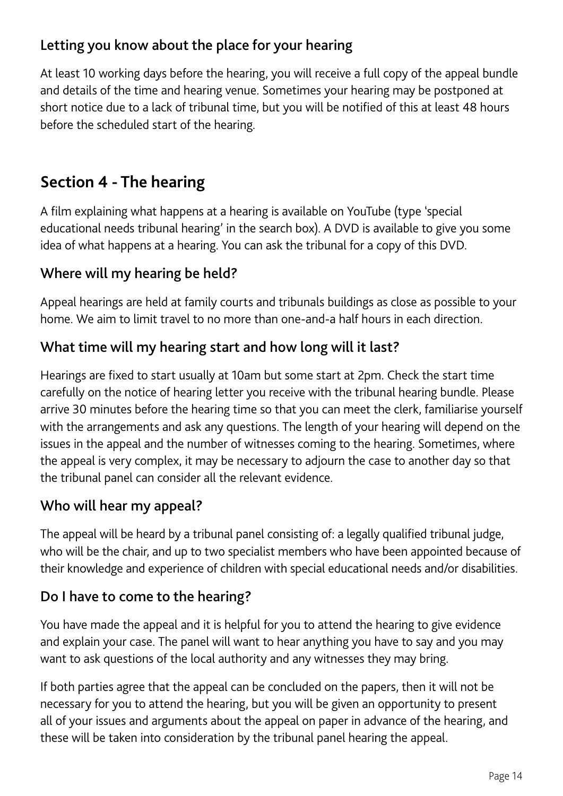### Letting you know about the place for your hearing

At least 10 working days before the hearing, you will receive a full copy of the appeal bundle and details of the time and hearing venue. Sometimes your hearing may be postponed at short notice due to a lack of tribunal time, but you will be notified of this at least 48 hours before the scheduled start of the hearing.

# **Section 4 - The hearing**

A film explaining what happens at a hearing is available on YouTube (type 'special educational needs tribunal hearing' in the search box). A DVD is available to give you some idea of what happens at a hearing. You can ask the tribunal for a copy of this DVD.

### Where will my hearing be held?

Appeal hearings are held at family courts and tribunals buildings as close as possible to your home. We aim to limit travel to no more than one-and-a half hours in each direction.

### What time will my hearing start and how long will it last?

Hearings are fixed to start usually at 10am but some start at 2pm. Check the start time carefully on the notice of hearing letter you receive with the tribunal hearing bundle. Please arrive 30 minutes before the hearing time so that you can meet the clerk, familiarise yourself with the arrangements and ask any questions. The length of your hearing will depend on the issues in the appeal and the number of witnesses coming to the hearing. Sometimes, where the appeal is very complex, it may be necessary to adjourn the case to another day so that the tribunal panel can consider all the relevant evidence.

#### Who will hear my appeal?

The appeal will be heard by a tribunal panel consisting of: a legally qualified tribunal judge, who will be the chair, and up to two specialist members who have been appointed because of their knowledge and experience of children with special educational needs and/or disabilities.

#### Do I have to come to the hearing?

You have made the appeal and it is helpful for you to attend the hearing to give evidence and explain your case. The panel will want to hear anything you have to say and you may want to ask questions of the local authority and any witnesses they may bring.

If both parties agree that the appeal can be concluded on the papers, then it will not be necessary for you to attend the hearing, but you will be given an opportunity to present all of your issues and arguments about the appeal on paper in advance of the hearing, and these will be taken into consideration by the tribunal panel hearing the appeal.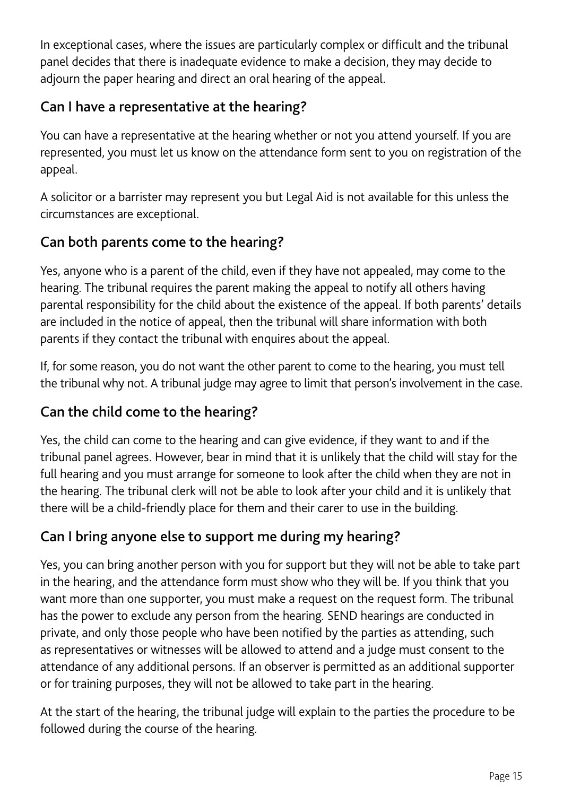In exceptional cases, where the issues are particularly complex or difficult and the tribunal panel decides that there is inadequate evidence to make a decision, they may decide to adjourn the paper hearing and direct an oral hearing of the appeal.

### Can I have a representative at the hearing?

You can have a representative at the hearing whether or not you attend yourself. If you are represented, you must let us know on the attendance form sent to you on registration of the appeal.

A solicitor or a barrister may represent you but Legal Aid is not available for this unless the circumstances are exceptional.

### Can both parents come to the hearing?

Yes, anyone who is a parent of the child, even if they have not appealed, may come to the hearing. The tribunal requires the parent making the appeal to notify all others having parental responsibility for the child about the existence of the appeal. If both parents' details are included in the notice of appeal, then the tribunal will share information with both parents if they contact the tribunal with enquires about the appeal.

If, for some reason, you do not want the other parent to come to the hearing, you must tell the tribunal why not. A tribunal judge may agree to limit that person's involvement in the case.

#### Can the child come to the hearing?

Yes, the child can come to the hearing and can give evidence, if they want to and if the tribunal panel agrees. However, bear in mind that it is unlikely that the child will stay for the full hearing and you must arrange for someone to look after the child when they are not in the hearing. The tribunal clerk will not be able to look after your child and it is unlikely that there will be a child-friendly place for them and their carer to use in the building.

#### Can I bring anyone else to support me during my hearing?

Yes, you can bring another person with you for support but they will not be able to take part in the hearing, and the attendance form must show who they will be. If you think that you want more than one supporter, you must make a request on the request form. The tribunal has the power to exclude any person from the hearing. SEND hearings are conducted in private, and only those people who have been notified by the parties as attending, such as representatives or witnesses will be allowed to attend and a judge must consent to the attendance of any additional persons. If an observer is permitted as an additional supporter or for training purposes, they will not be allowed to take part in the hearing.

At the start of the hearing, the tribunal judge will explain to the parties the procedure to be followed during the course of the hearing.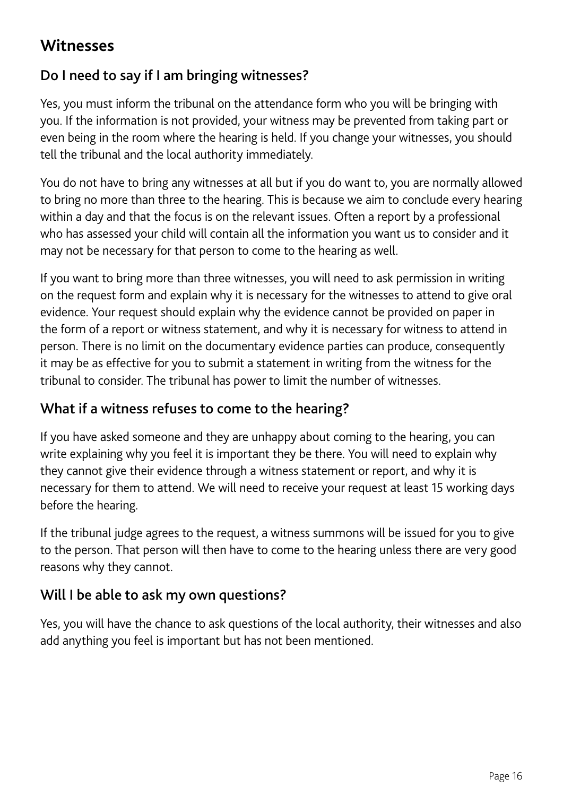# **Witnesses**

### Do I need to say if I am bringing witnesses?

Yes, you must inform the tribunal on the attendance form who you will be bringing with you. If the information is not provided, your witness may be prevented from taking part or even being in the room where the hearing is held. If you change your witnesses, you should tell the tribunal and the local authority immediately.

You do not have to bring any witnesses at all but if you do want to, you are normally allowed to bring no more than three to the hearing. This is because we aim to conclude every hearing within a day and that the focus is on the relevant issues. Often a report by a professional who has assessed your child will contain all the information you want us to consider and it may not be necessary for that person to come to the hearing as well.

If you want to bring more than three witnesses, you will need to ask permission in writing on the request form and explain why it is necessary for the witnesses to attend to give oral evidence. Your request should explain why the evidence cannot be provided on paper in the form of a report or witness statement, and why it is necessary for witness to attend in person. There is no limit on the documentary evidence parties can produce, consequently it may be as effective for you to submit a statement in writing from the witness for the tribunal to consider. The tribunal has power to limit the number of witnesses.

#### What if a witness refuses to come to the hearing?

If you have asked someone and they are unhappy about coming to the hearing, you can write explaining why you feel it is important they be there. You will need to explain why they cannot give their evidence through a witness statement or report, and why it is necessary for them to attend. We will need to receive your request at least 15 working days before the hearing.

If the tribunal judge agrees to the request, a witness summons will be issued for you to give to the person. That person will then have to come to the hearing unless there are very good reasons why they cannot.

#### Will I be able to ask my own questions?

Yes, you will have the chance to ask questions of the local authority, their witnesses and also add anything you feel is important but has not been mentioned.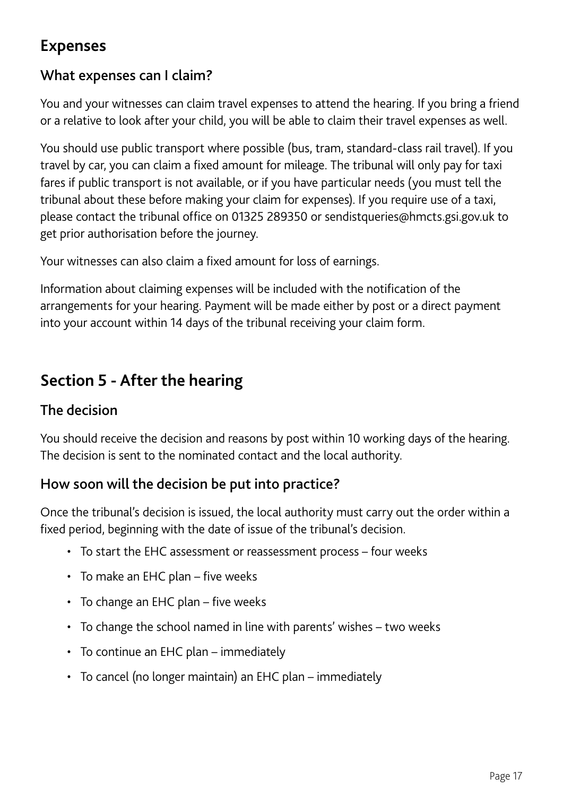# **Expenses**

#### What expenses can I claim?

You and your witnesses can claim travel expenses to attend the hearing. If you bring a friend or a relative to look after your child, you will be able to claim their travel expenses as well.

You should use public transport where possible (bus, tram, standard-class rail travel). If you travel by car, you can claim a fixed amount for mileage. The tribunal will only pay for taxi fares if public transport is not available, or if you have particular needs (you must tell the tribunal about these before making your claim for expenses). If you require use of a taxi, please contact the tribunal office on 01325 289350 or sendistqueries@hmcts.gsi.gov.uk to get prior authorisation before the journey.

Your witnesses can also claim a fixed amount for loss of earnings.

Information about claiming expenses will be included with the notification of the arrangements for your hearing. Payment will be made either by post or a direct payment into your account within 14 days of the tribunal receiving your claim form.

# **Section 5 - After the hearing**

#### The decision

You should receive the decision and reasons by post within 10 working days of the hearing. The decision is sent to the nominated contact and the local authority.

### How soon will the decision be put into practice?

Once the tribunal's decision is issued, the local authority must carry out the order within a fixed period, beginning with the date of issue of the tribunal's decision.

- To start the EHC assessment or reassessment process four weeks
- To make an EHC plan five weeks
- To change an EHC plan five weeks
- To change the school named in line with parents' wishes two weeks
- To continue an EHC plan immediately
- To cancel (no longer maintain) an EHC plan immediately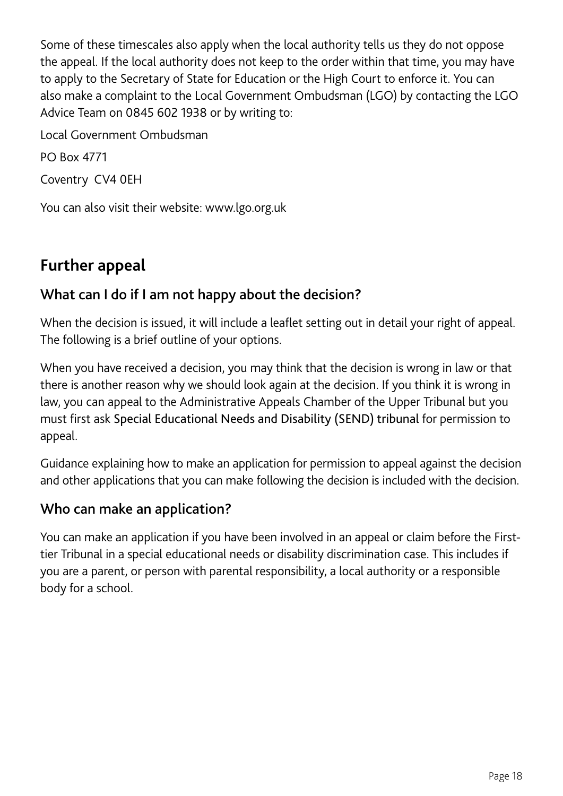Some of these timescales also apply when the local authority tells us they do not oppose the appeal. If the local authority does not keep to the order within that time, you may have to apply to the Secretary of State for Education or the High Court to enforce it. You can also make a complaint to the Local Government Ombudsman (LGO) by contacting the LGO Advice Team on 0845 602 1938 or by writing to:

Local Government Ombudsman

PO Box 4771

Coventry CV4 0EH

You can also visit their website: www.lgo.org.uk

# **Further appeal**

#### What can I do if I am not happy about the decision?

When the decision is issued, it will include a leaflet setting out in detail your right of appeal. The following is a brief outline of your options.

When you have received a decision, you may think that the decision is wrong in law or that there is another reason why we should look again at the decision. If you think it is wrong in law, you can appeal to the Administrative Appeals Chamber of the Upper Tribunal but you must first ask Special Educational Needs and Disability (SEND) tribunal for permission to appeal.

Guidance explaining how to make an application for permission to appeal against the decision and other applications that you can make following the decision is included with the decision.

#### Who can make an application?

You can make an application if you have been involved in an appeal or claim before the Firsttier Tribunal in a special educational needs or disability discrimination case. This includes if you are a parent, or person with parental responsibility, a local authority or a responsible body for a school.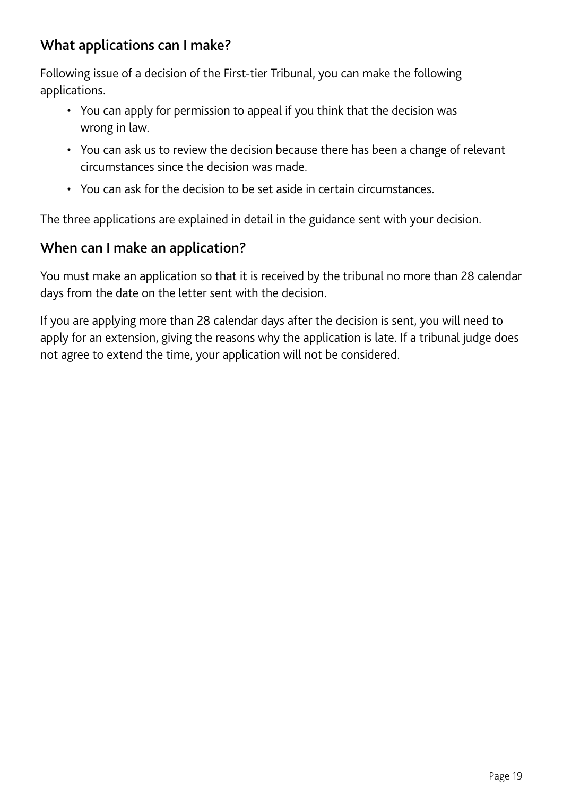#### What applications can I make?

Following issue of a decision of the First-tier Tribunal, you can make the following applications.

- You can apply for permission to appeal if you think that the decision was wrong in law.
- You can ask us to review the decision because there has been a change of relevant circumstances since the decision was made.
- You can ask for the decision to be set aside in certain circumstances.

The three applications are explained in detail in the guidance sent with your decision.

#### When can I make an application?

You must make an application so that it is received by the tribunal no more than 28 calendar days from the date on the letter sent with the decision.

If you are applying more than 28 calendar days after the decision is sent, you will need to apply for an extension, giving the reasons why the application is late. If a tribunal judge does not agree to extend the time, your application will not be considered.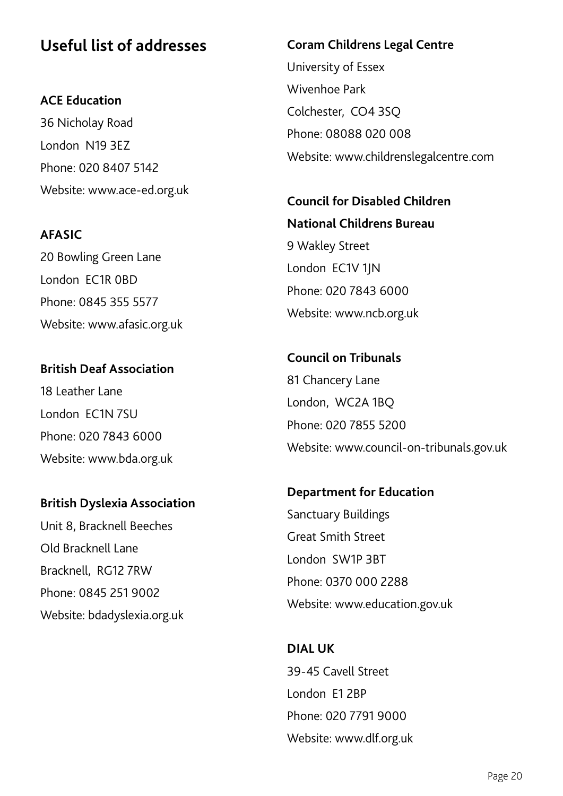## **Useful list of addresses**

**ACE Education**  36 Nicholay Road London N19 3EZ Phone: 020 8407 5142 Website: www.ace-ed.org.uk

**AFASIC** 20 Bowling Green Lane London EC1R 0BD Phone: 0845 355 5577 Website: www.afasic.org.uk

**British Deaf Association** 18 Leather Lane London EC1N 7SU Phone: 020 7843 6000 Website: www.bda.org.uk

#### **British Dyslexia Association**

Unit 8, Bracknell Beeches Old Bracknell Lane Bracknell, RG12 7RW Phone: 0845 251 9002 Website: bdadyslexia.org.uk

# **Coram Childrens Legal Centre** University of Essex Wivenhoe Park Colchester, CO4 3SQ Phone: 08088 020 008

Website: www.childrenslegalcentre.com

**Council for Disabled Children National Childrens Bureau** 9 Wakley Street London EC1V 1JN Phone: 020 7843 6000 Website: www.ncb.org.uk

**Council on Tribunals** 81 Chancery Lane London, WC2A 1BQ Phone: 020 7855 5200 Website: www.council-on-tribunals.gov.uk

**Department for Education** Sanctuary Buildings Great Smith Street London SW1P 3BT Phone: 0370 000 2288 Website: www.education.gov.uk

**DIAL UK** 39-45 Cavell Street London E1 2BP Phone: 020 7791 9000 Website: www.dlf.org.uk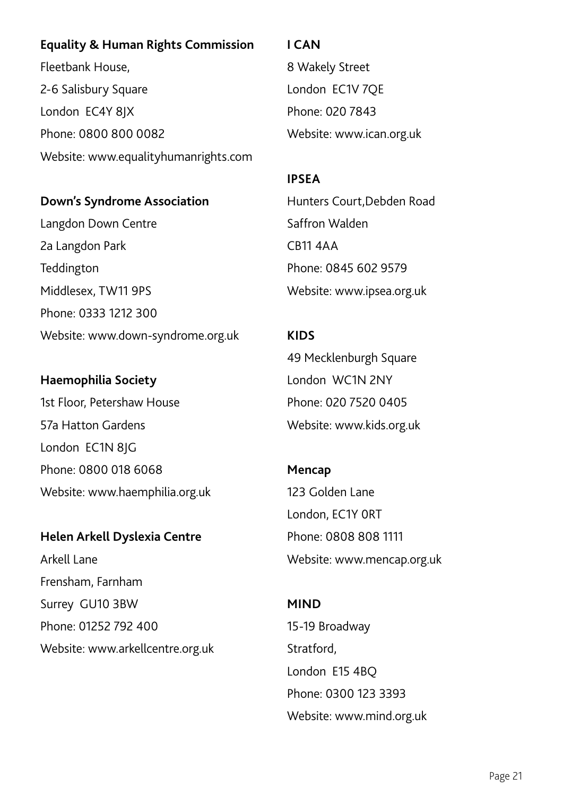#### **Equality & Human Rights Commission**

Fleetbank House, 2-6 Salisbury Square London EC4Y 8JX Phone: 0800 800 0082 Website: www.equalityhumanrights.com

#### **Down's Syndrome Association**

Langdon Down Centre 2a Langdon Park Teddington Middlesex, TW11 9PS Phone: 0333 1212 300 Website: www.down-syndrome.org.uk

### **Haemophilia Society**

1st Floor, Petershaw House 57a Hatton Gardens London EC1N 8JG Phone: 0800 018 6068 Website: www.haemphilia.org.uk

#### **Helen Arkell Dyslexia Centre**

Arkell Lane Frensham, Farnham Surrey GU10 3BW Phone: 01252 792 400 Website: www.arkellcentre.org.uk

#### **I CAN**

8 Wakely Street London EC1V 7QE Phone: 020 7843 Website: www.ican.org.uk

#### **IPSEA**

Hunters Court,Debden Road Saffron Walden CB11 4AA Phone: 0845 602 9579 Website: www.ipsea.org.uk

#### **KIDS**

49 Mecklenburgh Square London WC1N 2NY Phone: 020 7520 0405 Website: www.kids.org.uk

# **Mencap** 123 Golden Lane London, EC1Y 0RT Phone: 0808 808 1111 Website: www.mencap.org.uk

#### **MIND**

15-19 Broadway Stratford, London E15 4BQ Phone: 0300 123 3393 Website: www.mind.org.uk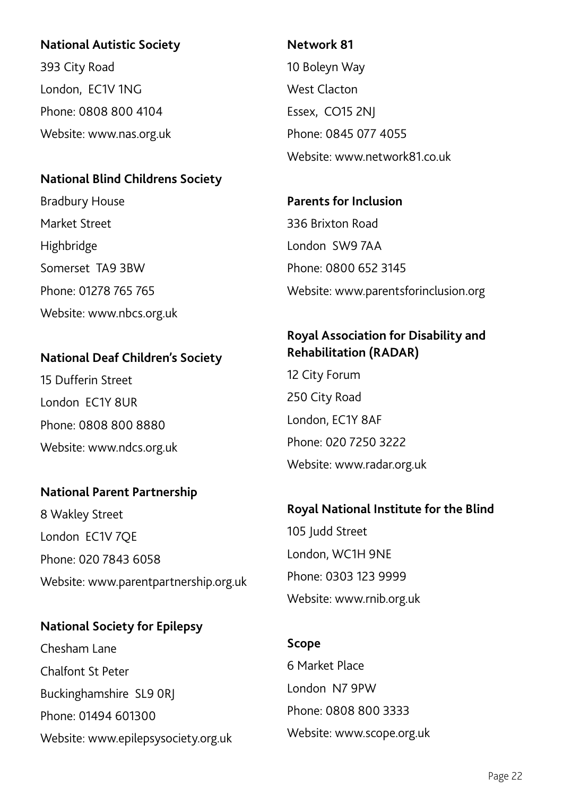#### **National Autistic Society**

393 City Road London, EC1V 1NG Phone: 0808 800 4104 Website: www.nas.org.uk

#### **National Blind Childrens Society**

Bradbury House Market Street Highbridge Somerset TA9 3BW Phone: 01278 765 765 Website: www.nbcs.org.uk

#### **National Deaf Children's Society**

15 Dufferin Street London EC1Y 8UR Phone: 0808 800 8880 Website: www.ndcs.org.uk

#### **National Parent Partnership**

8 Wakley Street London EC1V 7QE Phone: 020 7843 6058 Website: www.parentpartnership.org.uk

#### **National Society for Epilepsy**

Chesham Lane Chalfont St Peter Buckinghamshire SL9 0RJ Phone: 01494 601300 Website: www.epilepsysociety.org.uk

#### **Network 81**

10 Boleyn Way West Clacton Essex, CO15 2NJ Phone: 0845 077 4055 Website: www.network81.co.uk

**Parents for Inclusion** 336 Brixton Road London SW9 7AA Phone: 0800 652 3145 Website: www.parentsforinclusion.org

#### **Royal Association for Disability and Rehabilitation (RADAR)**

12 City Forum 250 City Road London, EC1Y 8AF Phone: 020 7250 3222 Website: www.radar.org.uk

#### **Royal National Institute for the Blind**

105 Judd Street London, WC1H 9NE Phone: 0303 123 9999 Website: www.rnib.org.uk

# **Scope** 6 Market Place London N7 9PW Phone: 0808 800 3333 Website: www.scope.org.uk